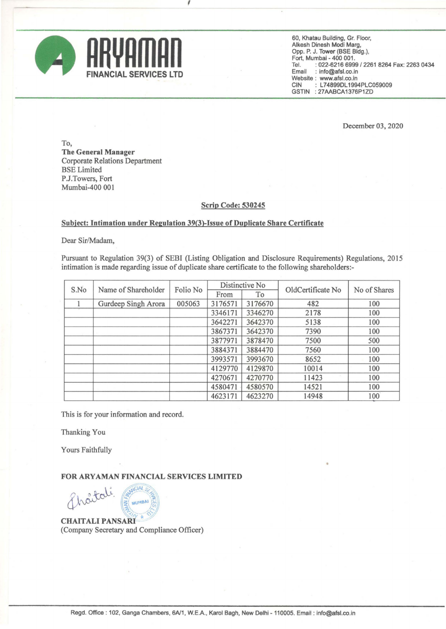

60, Khatau Building, Gr. Floor, Alkesh Dinesh Modi Marg, Opp. P. J. Tower (BSE Bldg.), Fort, Mumbai - 400 001. Tel. : 022-6216 6999/2261 8264 Fax: 2263 0434 Email : info@afsl.co.in Website: www.afsl.co.in<br>CIN : L74899DL1994 : L74899DL1994PLC059009 GSTIN : 27AABCA1376P1ZD

December 03, 2020

•

To, The General Manager Corporate Relations Department BSE Limited P.J.Towers, Fort Mumbai-400 001

## Scrip Code: 530245

## Subject: Intimation under Regulation 39(3}-Issue of Duplicate Share Certificate

 $\lambda$ 

Dear Sir/Madam,

Pursuant to Regulation 39(3) of SEBI (Listing Obligation and Disclosure Requirements) Regulations, 2015 intimation is made regarding issue of duplicate share certificate to the following shareholders:-

| S.No | Name of Shareholder | Folio No | Distinctive No |         | OldCertificate No | No of Shares |  |
|------|---------------------|----------|----------------|---------|-------------------|--------------|--|
|      |                     |          | From           | To      |                   |              |  |
|      | Gurdeep Singh Arora | 005063   | 3176571        | 3176670 | 482               | 100          |  |
|      |                     |          | 3346171        | 3346270 | 2178              | 100          |  |
|      |                     |          | 3642271        | 3642370 | 5138              | 100          |  |
|      |                     |          | 3867371        | 3642370 | 7390              | 100          |  |
|      |                     |          | 3877971        | 3878470 | 7500              | 500          |  |
|      |                     |          | 3884371        | 3884470 | 7560              | 100          |  |
|      |                     |          | 3993571        | 3993670 | 8652              | 100          |  |
|      |                     |          | 4129770        | 4129870 | 10014             | 100          |  |
|      |                     |          | 4270671        | 4270770 | 11423             | 100          |  |
|      |                     |          | 4580471        | 4580570 | 14521             | 100          |  |
|      |                     |          | 4623171        | 4623270 | 14948             | 100          |  |

This is for your information and record.

Thanking You

Yours Faithfully

## FOR ARYAMAN FINANCIAL SERVICES LIMITED

otali **MUMBAI CHAITALI PANSARI** 

(Company Secretary and Compliance Officer)